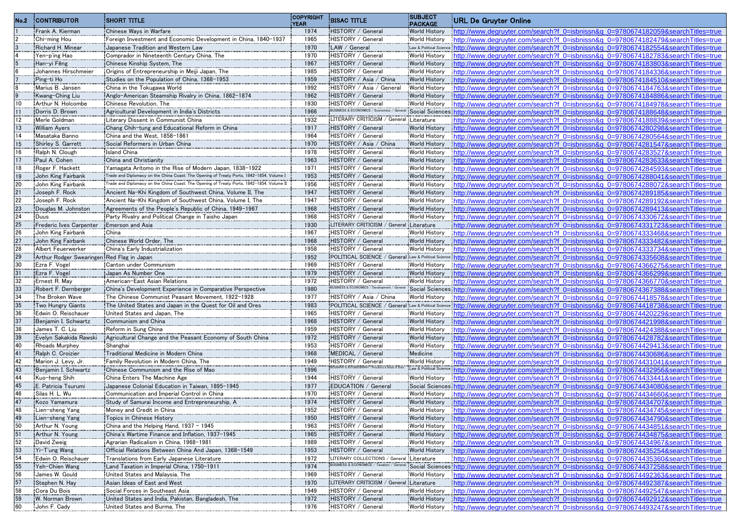| No.2     | <b>CONTRIBUTOR</b>                            | <b>SHORT TITLE</b>                                                                                                                                  | <b>COPYRIGHT</b><br><b>YEAR</b> | <b>BISAC TITLE</b>                                          | <b>SUBJECT</b><br><b>PACKAGE</b>             | URL De Gruyter Online                                                                                                                                                |
|----------|-----------------------------------------------|-----------------------------------------------------------------------------------------------------------------------------------------------------|---------------------------------|-------------------------------------------------------------|----------------------------------------------|----------------------------------------------------------------------------------------------------------------------------------------------------------------------|
|          | Frank A. Kierman                              | Chinese Ways in Warfare                                                                                                                             | 1974                            | HISTORY / General                                           | <b>World History</b>                         | http://www.degruyter.com/search?f 0=isbnissn&g 0=9780674182059&searchTitles=true                                                                                     |
|          | Chi-ming Hou                                  | Foreign Investment and Economic Development in China, 1840-1937                                                                                     | 1965                            | HISTORY / General                                           | <b>World History</b>                         | http://www.degruyter.com/search?f 0=isbnissn&g 0=9780674182479&searchTitles=true                                                                                     |
|          | Richard H. Minear                             | Japanese Tradition and Western Law                                                                                                                  | 1970                            | LAW / General                                               |                                              | Law & Political Science: http://www.degruyter.com/search?f 0=isbnissn&g 0=9780674182554&searchTitles=true                                                            |
|          | Yen-p'ing Hao                                 | Comprador in Nineteenth Century China, The                                                                                                          | 1970                            | HISTORY / General                                           | <b>World History</b>                         | http://www.degruvter.com/search?f 0=isbnissn&g 0=9780674182783&searchTitles=true                                                                                     |
|          | Han-yi Fêng                                   | Chinese Kinship System, The                                                                                                                         | 1967                            | HISTORY / General                                           | <b>World History</b>                         | http://www.degruvter.com/search?f 0=isbnissn&g 0=9780674183803&searchTitles=true                                                                                     |
|          | Johannes Hirschmeier                          | Origins of Entrepreneurship in Meiji Japan, The                                                                                                     | 1985                            | HISTORY / General                                           | <b>World History</b>                         | http://www.degruvter.com/search?f 0=isbnissn&g 0=9780674184336&searchTitles=true                                                                                     |
|          | Ping-ti Ho                                    | Studies on the Population of China, 1368-1953                                                                                                       | 1959                            | HISTORY / Asia / China                                      | <b>World History</b>                         | http://www.degruvter.com/search?f 0=isbnissn&g 0=9780674184510&searchTitles=true                                                                                     |
|          | Marius B. Jansen                              | China in the Tokugawa World                                                                                                                         | 1992                            | HISTORY / Asia / General                                    | <b>World History</b>                         | http://www.degruvter.com/search?f 0=isbnissn&g 0=9780674184763&searchTitles=true                                                                                     |
|          | Kwang-Ching Liu                               | Anglo-American Steamship Rivalry in China, 1862-1874                                                                                                | 1962                            | HISTORY / General                                           | <b>World History</b>                         | http://www.degruvter.com/search?f 0=isbnissn&g 0=9780674184886&searchTitles=true                                                                                     |
|          | Arthur N. Holcombe                            | Chinese Revolution, The                                                                                                                             | 1930                            | HISTORY / General<br>BUSINESS & ECONOMICS / Economics / Ger | <b>World History</b>                         | http://www.degruvter.com/search?f 0=isbnissn&g 0=9780674184978&searchTitles=true                                                                                     |
|          | Dorris D. Brown                               | Agricultural Development in India's Districts                                                                                                       | 1966                            |                                                             |                                              | Social Sciences:http://www.degruyter.com/search?f_0=isbnissn&q_0=9780674188648&searchTitles=true                                                                     |
|          | Merle Goldman                                 | Literary Dissent in Communist China                                                                                                                 | 1932                            | LITERARY CRITICISM / General Literature                     |                                              | http://www.degruyter.com/search?f 0=isbnissn&g 0=9780674188839&searchTitles=true                                                                                     |
|          | <b>William Avers</b>                          | Chang Chih-tung and Educational Reform in China                                                                                                     | 1917                            | HISTORY / General                                           | <b>World History</b>                         | http://www.degruyter.com/search?f 0=isbnissn&g 0=9780674280298&searchTitles=true                                                                                     |
|          | Masataka Banno                                | China and the West. 1858-1861                                                                                                                       | 1964                            | HISTORY / General                                           | <b>World History</b>                         | http://www.degruyter.com/search?f_0=isbnissn&q_0=9780674280564&searchTitles=true                                                                                     |
| 15       | Shirley S. Garrett                            | Social Reformers in Urban China                                                                                                                     | 1970                            | HISTORY / Asia / China                                      | <b>World History</b>                         | http://www.degruyter.com/search?f 0=isbnissn&g 0=9780674281547&searchTitles=true                                                                                     |
| 17       | Ralph N. Clough                               | <b>Island China</b>                                                                                                                                 | 1978                            | HISTORY / General                                           | <b>World History</b>                         | http://www.degruyter.com/search?f 0=isbnissn&g 0=9780674283527&searchTitles=true                                                                                     |
|          | Paul A. Cohen                                 | China and Christianity                                                                                                                              | 1963                            | HISTORY / General                                           | <b>World History</b>                         | http://www.deqruyter.com/search?f_0=isbnissn&q_0=9780674283633&searchTitles=true                                                                                     |
| 18       | Roger F. Hackett                              | Yamagata Aritomo in the Rise of Modern Japan, 1838-1922<br>Trade and Diplomacy on the China Coast: The Opening of Treaty Ports, 1842-1854, Volume I | 1971<br>1953                    | HISTORY / General                                           | <b>World History</b>                         | http://www.degruyter.com/search?f 0=isbnissn&g 0=9780674284593&searchTitles=true                                                                                     |
| 19<br>20 | John King Fairbank                            | Trade and Diplomacy on the China Coast: The Opening of Treaty Ports, 1842-1854, Volume II                                                           | 1956                            | HISTORY / General<br>HISTORY / General                      | <b>World History</b>                         | http://www.degruyter.com/search?f 0=isbnissn&g 0=9780674288041&searchTitles=true                                                                                     |
|          | John King Fairbank                            | Ancient Na-Khi Kingdom of Southwest China, Volume II, The                                                                                           |                                 |                                                             | <b>World History</b>                         | http://www.degruyter.com/search?f 0=isbnissn&g 0=9780674288072&searchTitles=true                                                                                     |
|          | Joseph F. Rock<br>Joseph F. Rock              | Ancient Na-Khi Kingdom of Southwest China, Volume I. The                                                                                            | 1947<br>1947                    | HISTORY / General<br>HISTORY / General                      | <b>World History</b>                         | http://www.degruyter.com/search?f 0=isbnissn&g 0=9780674289185&searchTitles=true                                                                                     |
|          | Douglas M. Johnston                           | Agreements of the People's Republic of China, 1949-1967                                                                                             | 1968                            | HISTORY / General                                           | <b>World History</b><br><b>World History</b> | http://www.degruyter.com/search?f 0=isbnissn&g 0=9780674289192&searchTitles=true                                                                                     |
|          | Duus                                          | Party Rivalry and Political Change in Taisho Japan                                                                                                  | 1968                            | HISTORY / General                                           |                                              | http://www.degruyter.com/search?f 0=isbnissn&g 0=9780674289413&searchTitles=true                                                                                     |
|          |                                               | Emerson and Asia                                                                                                                                    | 1930                            | LITERARY CRITICISM / General Literature                     | <b>World History</b>                         | http://www.degruyter.com/search?f 0=isbnissn&g 0=9780674330672&searchTitles=true<br>http://www.degruyter.com/search?f 0=isbnissn&g 0=9780674331723&searchTitles=true |
|          | Frederic Ives Carpenter<br>John King Fairbank | China                                                                                                                                               | 1967                            | HISTORY / General                                           | <b>World History</b>                         |                                                                                                                                                                      |
|          |                                               | Chinese World Order, The                                                                                                                            | 1968                            | HISTORY / General                                           |                                              | http://www.degruyter.com/search?f 0=isbnissn&g 0=9780674333468&searchTitles=true<br>http://www.degruyter.com/search?f 0=isbnissn&g 0=9780674333482&searchTitles=true |
|          | John King Fairbank<br>Albert Feuerwerker      | China's Early Industrialization                                                                                                                     | 1958                            | HISTORY / General                                           | <b>World History</b><br><b>World History</b> | http://www.degruyter.com/search?f 0=isbnissn&g 0=9780674333734&searchTitles=true                                                                                     |
|          | Arthur Rodger Swearingen Red Flag in Japan    |                                                                                                                                                     | 1952                            |                                                             |                                              | :POLITICAL SCIENCE / General Law & Political Science http://www.degruvter.com/search?f 0=isbnissn&g 0=9780674335608&searchTitles=true                                |
|          | Ezra F. Vogel                                 | Canton under Communism                                                                                                                              | 1969                            | HISTORY / General                                           | <b>World History</b>                         | .http://www.degruvter.com/search?f 0=isbnissn&g 0=9780674366275&searchTitles=true                                                                                    |
|          | Ezra F. Vogel                                 | Japan As Number One                                                                                                                                 | 1979                            | HISTORY / General                                           | <b>World History</b>                         | http://www.degruyter.com/search?f 0=isbnissn&g 0=9780674366299&searchTitles=true                                                                                     |
|          | Ernest R. May                                 | American-East Asian Relations                                                                                                                       | 1972                            | HISTORY / General                                           | World History                                | http://www.degruvter.com/search?f 0=isbnissn&g 0=9780674366770&searchTitles=true                                                                                     |
|          | Robert F. Dernberger                          | China's Development Experience in Comparative Perspective                                                                                           | 1980                            | BUSINESS & ECONOMICS / Development / Gen                    |                                              | Social Sciences: http://www.degruyter.com/search?f 0=isbnissn&g 0=9780674367388&searchTitles=true                                                                    |
|          | The Broken Wave                               | The Chinese Communist Peasant Movement, 1922-1928                                                                                                   | 1977                            | HISTORY / Asia / China                                      | <b>World History</b>                         | http://www.degruyter.com/search?f 0=isbnissn&g 0=9780674418578&searchTitles=true                                                                                     |
|          | Two Hungry Giants                             | The United States and Japan in the Quest for Oil and Ores                                                                                           | 1983                            |                                                             |                                              | :POLITICAL SCIENCE / General :Law & Political Science : http://www.degruyter.com/search?f_0=isbnissn&q_0=9780674418738&searchTitles=true                             |
|          | Edwin O. Reischauer                           | United States and Japan. The                                                                                                                        | 1965                            | HISTORY / General                                           | <b>World History</b>                         | http://www.degruyter.com/search?f 0=isbnissn&g 0=9780674420229&searchTitles=true                                                                                     |
|          | Benjamin I. Schwartz                          | Communism and China                                                                                                                                 | 1968                            | HISTORY / General                                           | <b>World History</b>                         | http://www.degruyter.com/search?f 0=isbnissn&g 0=9780674421998&searchTitles=true                                                                                     |
|          | James T. C. Liu                               | Reform in Sung China                                                                                                                                | 1959                            | HISTORY / General                                           | <b>World History</b>                         | http://www.degruyter.com/search?f 0=isbnissn&g 0=9780674424388&searchTitles=true                                                                                     |
|          | Evelyn Sakakida Rawski                        | Agricultural Change and the Peasant Economy of South China                                                                                          | 1972                            | HISTORY / General                                           | <b>World History</b>                         | http://www.degruyter.com/search?f 0=isbnissn&g 0=9780674428782&searchTitles=true                                                                                     |
| 40       | Rhoads Murphey                                | Shanghai                                                                                                                                            | 1953                            | HISTORY / General                                           | <b>World History</b>                         | http://www.degruyter.com/search?f 0=isbnissn&g 0=9780674429413&searchTitles=true                                                                                     |
|          | Ralph C. Croizier                             | Traditional Medicine in Modern China                                                                                                                | 1968                            | MEDICAL / General                                           | Medicine                                     | http://www.degruyter.com/search?f 0=isbnissn&g 0=9780674430686&searchTitles=true                                                                                     |
| 42       | Marion J. Levv. Jr.                           | Family Revolution in Modern China. The                                                                                                              | 1949                            | HISTORY / General                                           | <b>World History</b>                         | http://www.degruyter.com/search?f 0=isbnissn&g 0=9780674431041&searchTitles=true                                                                                     |
|          | Benjamin I. Schwartz                          | Chinese Communism and the Rise of Mao                                                                                                               | 1996                            |                                                             | Law & Political Scien                        | http://www.degruyter.com/search?f_0=isbnissn&q_0=9780674432956&searchTitles=true                                                                                     |
|          | Kuo-heng Shih                                 | China Enters The Machine Age                                                                                                                        | 1944                            | HISTORY / General                                           | <b>World History</b>                         | http://www.degruyter.com/search?f 0=isbnissn&g 0=9780674433441&searchTitles=true                                                                                     |
|          | E. Patricia Tsurumi                           | Japanese Colonial Education in Taiwan, 1895-1945                                                                                                    | 1977                            | EDUCATION / General                                         |                                              | Social Sciences http://www.degruvter.com/search?f 0=isbnissn&g 0=9780674434080&searchTitles=true                                                                     |
|          | Silas H. L. Wu                                | Communication and Imperial Control in China                                                                                                         | 1970                            | HISTORY / General                                           | <b>World History</b>                         | http://www.degruyter.com/search?f 0=isbnissn&g 0=9780674434660&searchTitles=true                                                                                     |
|          | Kozo Yamamura                                 | Study of Samurai Income and Entrepreneurship, A                                                                                                     | 1974                            | HISTORY / General                                           | <b>World History</b>                         | http://www.degruyter.com/search?f 0=isbnissn&q 0=9780674434707&searchTitles=true                                                                                     |
|          | Lien-sheng Yang                               | Money and Credit in China                                                                                                                           | 1952                            | HISTORY / General                                           | <b>World History</b>                         | http://www.degruyter.com/search?f 0=isbnissn&g 0=9780674434745&searchTitles=true                                                                                     |
|          | Lien-sheng Yang                               | Topics in Chinese History                                                                                                                           | 1950                            | HISTORY / General                                           | <b>World History</b>                         | http://www.degruyter.com/search?f 0=isbnissn&g 0=9780674434790&searchTitles=true                                                                                     |
|          | Arthur N. Young                               | China and the Helping Hand, 1937 - 1945                                                                                                             | 1963                            | HISTORY / General                                           | <b>World History</b>                         | http://www.degruvter.com/search?f 0=isbnissn&g 0=9780674434851&searchTitles=true                                                                                     |
|          | Arthur N. Young                               | China's Wartime Finance and Inflation, 1937-1945                                                                                                    | 1965                            | HISTORY / General                                           | <b>World History</b>                         | http://www.degruyter.com/search?f 0=isbnissn&g 0=9780674434875&searchTitles=true                                                                                     |
|          | David Zweig                                   | Agrarian Radicalism in China, 1968-1981                                                                                                             | 1989                            | HISTORY / General                                           | <b>World History</b>                         | http://www.degruyter.com/search?f_0=isbnissn&q_0=9780674434967&searchTitles=true                                                                                     |
|          | Yi-T'ung Wang                                 | Official Relations Between China And Japan, 1368-1549                                                                                               | 1953                            | HISTORY / General                                           | <b>World History</b>                         | http://www.degruvter.com/search?f 0=isbnissn&g 0=9780674435254&searchTitles=true                                                                                     |
|          | Edwin O. Reischauer                           | Translations from Early Japanese Literature                                                                                                         | 1972                            | LITERARY COLLECTIONS / General Literature                   |                                              | http://www.degruvter.com/search?f 0=isbnissn&g 0=9780674435360&searchTitles=true                                                                                     |
| 55       | Yeh-Chien Wang                                | Land Taxation in Imperial China, 1750-1911                                                                                                          | 1974                            | BUSINESS & ECONOMICS / Taxation / General                   |                                              | Social Sciences:http://www.degruyter.com/search?f 0=isbnissn&g 0=9780674437258&searchTitles=true                                                                     |
|          | James W. Gould                                | United States and Malaysia, The                                                                                                                     | 1969                            | HISTORY / General                                           | <b>World History</b>                         | http://www.degruvter.com/search?f 0=isbnissn&g 0=9780674492363&searchTitles=true                                                                                     |
|          | Stephen N. Hay                                | Asian Ideas of East and West                                                                                                                        | 1970                            | LITERARY CRITICISM / General Literature                     |                                              | http://www.degruvter.com/search?f 0=isbnissn&g 0=9780674492387&searchTitles=true                                                                                     |
|          | Cora Du Bois                                  | Social Forces in Southeast Asia                                                                                                                     | 1949                            | HISTORY / General                                           | <b>World History</b>                         | http://www.degruvter.com/search?f 0=isbnissn&g 0=9780674492547&searchTitles=true                                                                                     |
|          | W. Norman Brown                               | United States and India, Pakistan, Bangladesh, The                                                                                                  | 1972                            | HISTORY / General                                           | <b>World History</b>                         | http://www.degruvter.com/search?f 0=isbnissn&g 0=9780674492912&searchTitles=true                                                                                     |
|          | John F. Cady                                  | United States and Burma, The                                                                                                                        | 1976                            | HISTORY / General                                           | <b>World History</b>                         | http://www.degruyter.com/search?f 0=isbnissn&g 0=9780674493247&searchTitles=true                                                                                     |